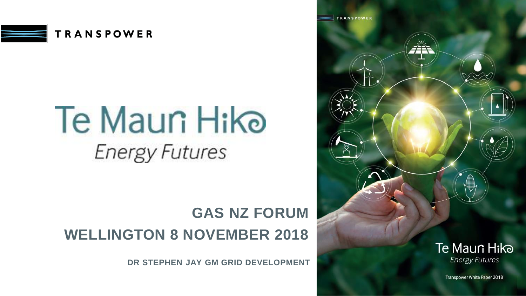

## **Te Maun Hike Energy Futures**

## **GAS NZ FORUM WELLINGTON 8 NOVEMBER 2018**

**DR STEPHEN JAY GM GRID DEVELOPMENT**

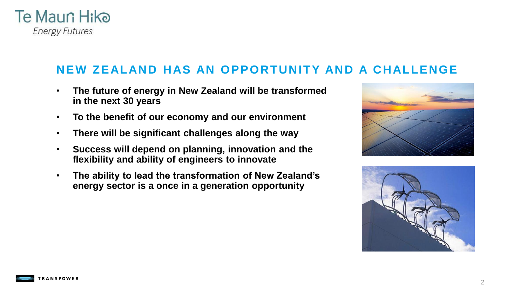

#### **NEW ZEALAND HAS AN OPPORTUNITY AND A CHALLENGE**

- **The future of energy in New Zealand will be transformed in the next 30 years**
- **To the benefit of our economy and our environment**
- **There will be significant challenges along the way**
- **Success will depend on planning, innovation and the flexibility and ability of engineers to innovate**
- **The ability to lead the transformation of New Zealand's energy sector is a once in a generation opportunity**







2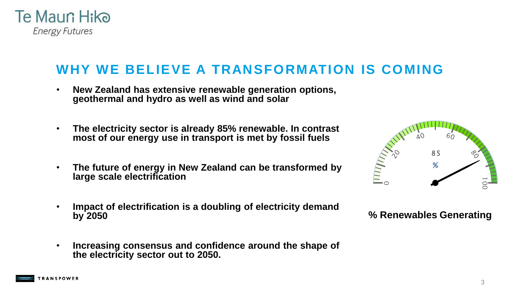

#### **WHY WE BELIEVE A TRANSFORMATION IS COMING**

- **New Zealand has extensive renewable generation options, geothermal and hydro as well as wind and solar**
- **The electricity sector is already 85% renewable. In contrast most of our energy use in transport is met by fossil fuels**
- **The future of energy in New Zealand can be transformed by large scale electrification**
- **Impact of electrification is a doubling of electricity demand by 2050**
- **Increasing consensus and confidence around the shape of the electricity sector out to 2050.**



#### **% Renewables Generating**

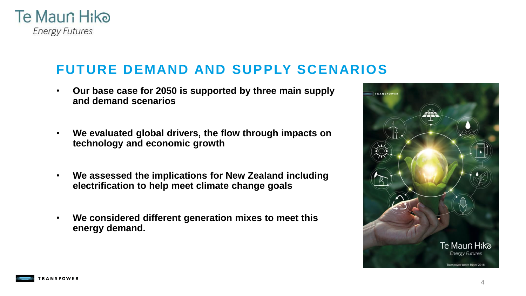

#### **FUTURE DEMAND AND SUPPLY SCENARIOS**

- **Our base case for 2050 is supported by three main supply and demand scenarios**
- **We evaluated global drivers, the flow through impacts on technology and economic growth**
- **We assessed the implications for New Zealand including electrification to help meet climate change goals**
- **We considered different generation mixes to meet this energy demand.**



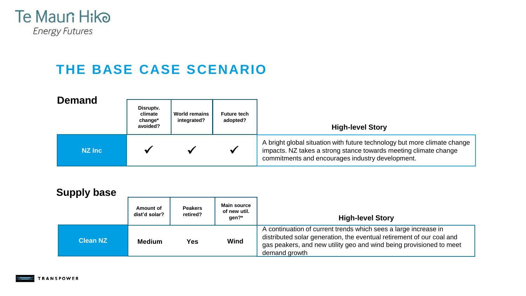

## **THE BASE CASE SCENARIO**

| <b>Demand</b>  | Disruptv.<br>climate<br>change*<br>avoided? | <b>World remains</b><br>integrated? | <b>Future tech</b><br>adopted? | <b>High-level Story</b>                                                                                                                                                                          |  |
|----------------|---------------------------------------------|-------------------------------------|--------------------------------|--------------------------------------------------------------------------------------------------------------------------------------------------------------------------------------------------|--|
| <b>NZ Inc.</b> |                                             |                                     |                                | A bright global situation with future technology but more climate change<br>impacts. NZ takes a strong stance towards meeting climate change<br>commitments and encourages industry development. |  |

| <b>Supply base</b> |                            |                            |                                             |                                                                                                                                                                                                                                  |  |
|--------------------|----------------------------|----------------------------|---------------------------------------------|----------------------------------------------------------------------------------------------------------------------------------------------------------------------------------------------------------------------------------|--|
|                    | Amount of<br>dist'd solar? | <b>Peakers</b><br>retired? | <b>Main source</b><br>of new util.<br>gen?* | <b>High-level Story</b>                                                                                                                                                                                                          |  |
| <b>Clean NZ</b>    | <b>Medium</b>              | Yes                        | Wind                                        | A continuation of current trends which sees a large increase in<br>distributed solar generation, the eventual retirement of our coal and<br>gas peakers, and new utility geo and wind being provisioned to meet<br>demand growth |  |

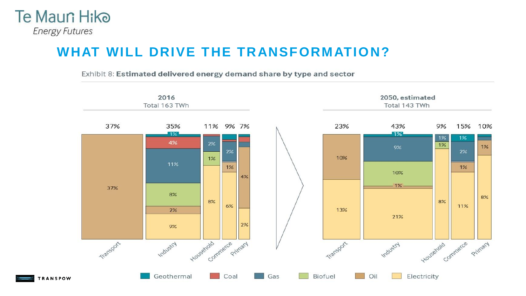

#### **WHAT WILL DRIVE THE TRANSFORMATION?**

Exhibit 8: Estimated delivered energy demand share by type and sector

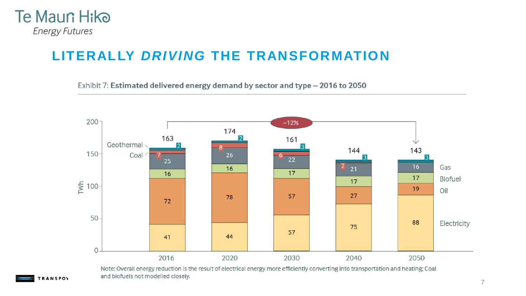

#### **LITERALLY** *DRIVING* **THE TRANSFORMATION**

Exhibit 7: Estimated delivered energy demand by sector and type - 2016 to 2050



Note: Overall energy reduction is the result of electrical energy more efficiently converting into transportation and heating; Coal and biofuels not modelled closely.

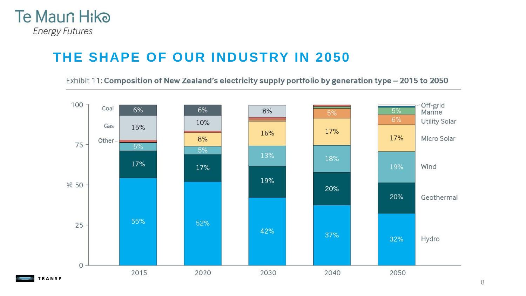

## **THE SHAPE OF OUR INDUSTRY IN 2050**

Exhibit 11: Composition of New Zealand's electricity supply portfolio by generation type - 2015 to 2050

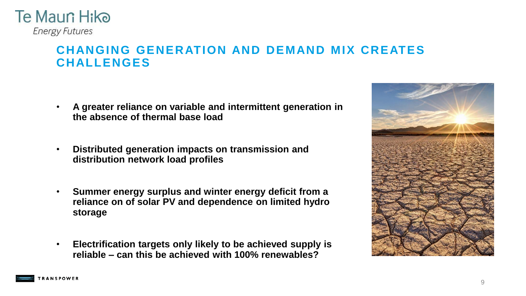

#### **CHANGING GENERATION AND DEMAND MIX CREATES CHALLENGES**

- **A greater reliance on variable and intermittent generation in the absence of thermal base load**
- **Distributed generation impacts on transmission and distribution network load profiles**
- **Summer energy surplus and winter energy deficit from a reliance on of solar PV and dependence on limited hydro storage**
- **Electrification targets only likely to be achieved supply is reliable – can this be achieved with 100% renewables?**



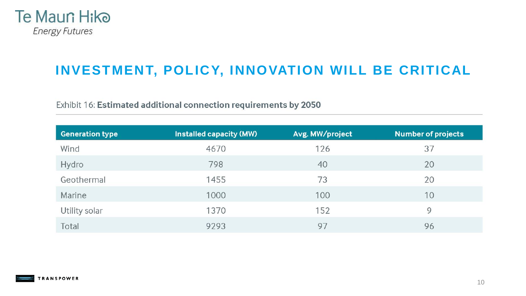

## **INVESTMENT, POLICY, INNOVATION WILL BE CRITICAL**

Exhibit 16: Estimated additional connection requirements by 2050

| <b>Generation type</b> | <b>Installed capacity (MW)</b> | Avg. MW/project | <b>Number of projects</b> |
|------------------------|--------------------------------|-----------------|---------------------------|
| Wind                   | 4670                           | 126             | 37                        |
| Hydro                  | 798                            | 40              | 20                        |
| Geothermal             | 1455                           | 73              | 20                        |
| Marine                 | 1000                           | 100             | 10                        |
| Utility solar          | 1370                           | 152             | 9                         |
| Total                  | 9293                           | 97              | 96                        |

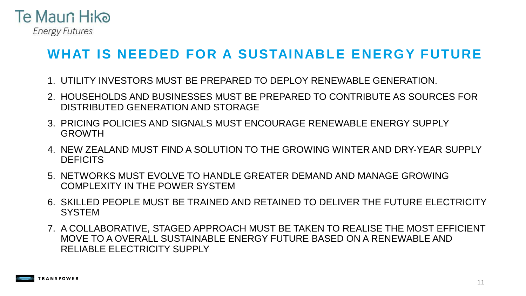

## **WHAT IS NEEDED FOR A SUSTAINABLE ENERGY FUTURE**

- 1. UTILITY INVESTORS MUST BE PREPARED TO DEPLOY RENEWABLE GENERATION.
- 2. HOUSEHOLDS AND BUSINESSES MUST BE PREPARED TO CONTRIBUTE AS SOURCES FOR DISTRIBUTED GENERATION AND STORAGE
- 3. PRICING POLICIES AND SIGNALS MUST ENCOURAGE RENEWABLE ENERGY SUPPLY GROWTH
- 4. NEW ZEALAND MUST FIND A SOLUTION TO THE GROWING WINTER AND DRY-YEAR SUPPLY **DEFICITS**
- 5. NETWORKS MUST EVOLVE TO HANDLE GREATER DEMAND AND MANAGE GROWING COMPLEXITY IN THE POWER SYSTEM
- 6. SKILLED PEOPLE MUST BE TRAINED AND RETAINED TO DELIVER THE FUTURE ELECTRICITY **SYSTEM**
- 7. A COLLABORATIVE, STAGED APPROACH MUST BE TAKEN TO REALISE THE MOST EFFICIENT MOVE TO A OVERALL SUSTAINABLE ENERGY FUTURE BASED ON A RENEWABLE AND RELIABLE ELECTRICITY SUPPLY